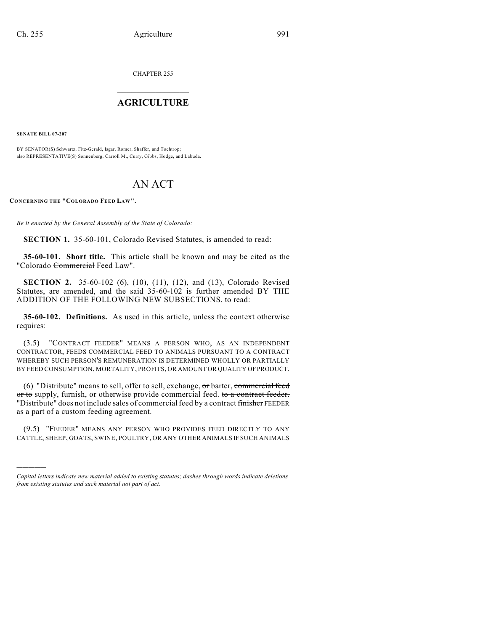CHAPTER 255

## $\overline{\phantom{a}}$  . The set of the set of the set of the set of the set of the set of the set of the set of the set of the set of the set of the set of the set of the set of the set of the set of the set of the set of the set o **AGRICULTURE**  $\_$   $\_$   $\_$   $\_$   $\_$   $\_$   $\_$   $\_$

**SENATE BILL 07-207**

)))))

BY SENATOR(S) Schwartz, Fitz-Gerald, Isgar, Romer, Shaffer, and Tochtrop; also REPRESENTATIVE(S) Sonnenberg, Carroll M., Curry, Gibbs, Hodge, and Labuda.

# AN ACT

**CONCERNING THE "COLORADO FEED LAW".**

*Be it enacted by the General Assembly of the State of Colorado:*

**SECTION 1.** 35-60-101, Colorado Revised Statutes, is amended to read:

**35-60-101. Short title.** This article shall be known and may be cited as the "Colorado Commercial Feed Law".

**SECTION 2.** 35-60-102 (6), (10), (11), (12), and (13), Colorado Revised Statutes, are amended, and the said 35-60-102 is further amended BY THE ADDITION OF THE FOLLOWING NEW SUBSECTIONS, to read:

**35-60-102. Definitions.** As used in this article, unless the context otherwise requires:

(3.5) "CONTRACT FEEDER" MEANS A PERSON WHO, AS AN INDEPENDENT CONTRACTOR, FEEDS COMMERCIAL FEED TO ANIMALS PURSUANT TO A CONTRACT WHEREBY SUCH PERSON'S REMUNERATION IS DETERMINED WHOLLY OR PARTIALLY BY FEED CONSUMPTION, MORTALITY, PROFITS, OR AMOUNT OR QUALITY OF PRODUCT.

(6) "Distribute" means to sell, offer to sell, exchange,  $\sigma$ r barter, commercial feed or to supply, furnish, or otherwise provide commercial feed. to a contract feeder. "Distribute" does not include sales of commercial feed by a contract finisher FEEDER as a part of a custom feeding agreement.

(9.5) "FEEDER" MEANS ANY PERSON WHO PROVIDES FEED DIRECTLY TO ANY CATTLE, SHEEP, GOATS, SWINE, POULTRY, OR ANY OTHER ANIMALS IF SUCH ANIMALS

*Capital letters indicate new material added to existing statutes; dashes through words indicate deletions from existing statutes and such material not part of act.*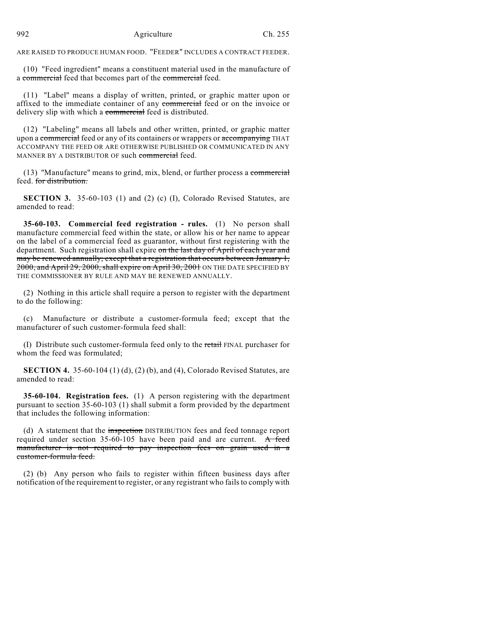ARE RAISED TO PRODUCE HUMAN FOOD. "FEEDER" INCLUDES A CONTRACT FEEDER.

(10) "Feed ingredient" means a constituent material used in the manufacture of a commercial feed that becomes part of the commercial feed.

(11) "Label" means a display of written, printed, or graphic matter upon or affixed to the immediate container of any commercial feed or on the invoice or delivery slip with which a commercial feed is distributed.

(12) "Labeling" means all labels and other written, printed, or graphic matter upon a commercial feed or any of its containers or wrappers or accompanying THAT ACCOMPANY THE FEED OR ARE OTHERWISE PUBLISHED OR COMMUNICATED IN ANY MANNER BY A DISTRIBUTOR OF such commercial feed.

(13) "Manufacture" means to grind, mix, blend, or further process a commercial feed. for distribution.

**SECTION 3.** 35-60-103 (1) and (2) (c) (I), Colorado Revised Statutes, are amended to read:

**35-60-103. Commercial feed registration - rules.** (1) No person shall manufacture commercial feed within the state, or allow his or her name to appear on the label of a commercial feed as guarantor, without first registering with the department. Such registration shall expire on the last day of April of each year and may be renewed annually; except that a registration that occurs between January 1, 2000, and April 29, 2000, shall expire on April 30, 2001 ON THE DATE SPECIFIED BY THE COMMISSIONER BY RULE AND MAY BE RENEWED ANNUALLY.

(2) Nothing in this article shall require a person to register with the department to do the following:

(c) Manufacture or distribute a customer-formula feed; except that the manufacturer of such customer-formula feed shall:

(I) Distribute such customer-formula feed only to the retail FINAL purchaser for whom the feed was formulated;

**SECTION 4.** 35-60-104 (1) (d), (2) (b), and (4), Colorado Revised Statutes, are amended to read:

**35-60-104. Registration fees.** (1) A person registering with the department pursuant to section 35-60-103 (1) shall submit a form provided by the department that includes the following information:

(d) A statement that the inspection DISTRIBUTION fees and feed tonnage report required under section  $35-60-105$  have been paid and are current. A feed manufacturer is not required to pay inspection fees on grain used in a customer-formula feed.

(2) (b) Any person who fails to register within fifteen business days after notification of the requirement to register, or any registrant who fails to comply with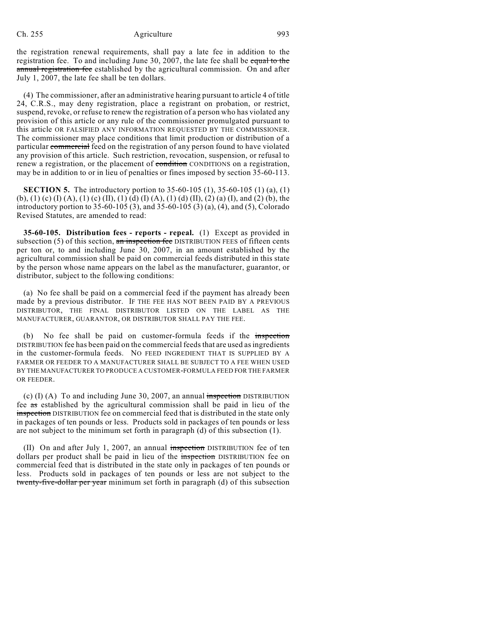### Ch. 255 Agriculture 993

the registration renewal requirements, shall pay a late fee in addition to the registration fee. To and including June 30, 2007, the late fee shall be equal to the annual registration fee established by the agricultural commission. On and after July 1, 2007, the late fee shall be ten dollars.

(4) The commissioner, after an administrative hearing pursuant to article 4 of title 24, C.R.S., may deny registration, place a registrant on probation, or restrict, suspend, revoke, or refuse to renew the registration of a person who has violated any provision of this article or any rule of the commissioner promulgated pursuant to this article OR FALSIFIED ANY INFORMATION REQUESTED BY THE COMMISSIONER. The commissioner may place conditions that limit production or distribution of a particular commercial feed on the registration of any person found to have violated any provision of this article. Such restriction, revocation, suspension, or refusal to renew a registration, or the placement of condition CONDITIONS on a registration, may be in addition to or in lieu of penalties or fines imposed by section 35-60-113.

**SECTION 5.** The introductory portion to 35-60-105 (1), 35-60-105 (1) (a), (1) (b), (1) (c) (I) (A), (1) (c) (II), (1) (d) (I) (A), (1) (d) (II), (2) (a) (I), and (2) (b), the introductory portion to 35-60-105 (3), and 35-60-105 (3) (a), (4), and (5), Colorado Revised Statutes, are amended to read:

**35-60-105. Distribution fees - reports - repeal.** (1) Except as provided in subsection  $(5)$  of this section, an inspection fee DISTRIBUTION FEES of fifteen cents per ton or, to and including June 30, 2007, in an amount established by the agricultural commission shall be paid on commercial feeds distributed in this state by the person whose name appears on the label as the manufacturer, guarantor, or distributor, subject to the following conditions:

(a) No fee shall be paid on a commercial feed if the payment has already been made by a previous distributor. IF THE FEE HAS NOT BEEN PAID BY A PREVIOUS DISTRIBUTOR, THE FINAL DISTRIBUTOR LISTED ON THE LABEL AS THE MANUFACTURER, GUARANTOR, OR DISTRIBUTOR SHALL PAY THE FEE.

(b) No fee shall be paid on customer-formula feeds if the inspection DISTRIBUTION fee has been paid on the commercial feeds that are used as ingredients in the customer-formula feeds. NO FEED INGREDIENT THAT IS SUPPLIED BY A FARMER OR FEEDER TO A MANUFACTURER SHALL BE SUBJECT TO A FEE WHEN USED BY THE MANUFACTURER TO PRODUCE A CUSTOMER-FORMULA FEED FOR THE FARMER OR FEEDER.

(c)  $(I)$  (A) To and including June 30, 2007, an annual inspection DISTRIBUTION fee as established by the agricultural commission shall be paid in lieu of the inspection DISTRIBUTION fee on commercial feed that is distributed in the state only in packages of ten pounds or less. Products sold in packages of ten pounds or less are not subject to the minimum set forth in paragraph (d) of this subsection (1).

(II) On and after July 1, 2007, an annual inspection DISTRIBUTION fee of ten dollars per product shall be paid in lieu of the *inspection* DISTRIBUTION fee on commercial feed that is distributed in the state only in packages of ten pounds or less. Products sold in packages of ten pounds or less are not subject to the twenty-five-dollar per year minimum set forth in paragraph (d) of this subsection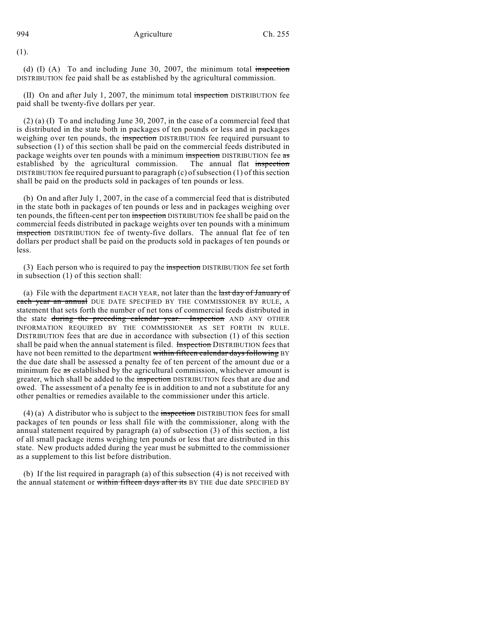(1).

(d)  $(I)$  (A) To and including June 30, 2007, the minimum total inspection DISTRIBUTION fee paid shall be as established by the agricultural commission.

 $(II)$  On and after July 1, 2007, the minimum total inspection DISTRIBUTION fee paid shall be twenty-five dollars per year.

(2) (a) (I) To and including June 30, 2007, in the case of a commercial feed that is distributed in the state both in packages of ten pounds or less and in packages weighing over ten pounds, the inspection DISTRIBUTION fee required pursuant to subsection (1) of this section shall be paid on the commercial feeds distributed in package weights over ten pounds with a minimum inspection DISTRIBUTION fee as established by the agricultural commission. The annual flat inspection DISTRIBUTION fee required pursuant to paragraph  $(c)$  of subsection (1) of this section shall be paid on the products sold in packages of ten pounds or less.

(b) On and after July 1, 2007, in the case of a commercial feed that is distributed in the state both in packages of ten pounds or less and in packages weighing over ten pounds, the fifteen-cent per ton inspection DISTRIBUTION fee shall be paid on the commercial feeds distributed in package weights over ten pounds with a minimum inspection DISTRIBUTION fee of twenty-five dollars. The annual flat fee of ten dollars per product shall be paid on the products sold in packages of ten pounds or less.

(3) Each person who is required to pay the inspection DISTRIBUTION fee set forth in subsection (1) of this section shall:

(a) File with the department EACH YEAR, not later than the last day of January of each year an annual DUE DATE SPECIFIED BY THE COMMISSIONER BY RULE, A statement that sets forth the number of net tons of commercial feeds distributed in the state during the preceding calendar year. Inspection AND ANY OTHER INFORMATION REQUIRED BY THE COMMISSIONER AS SET FORTH IN RULE. DISTRIBUTION fees that are due in accordance with subsection (1) of this section shall be paid when the annual statement is filed. Inspection DISTRIBUTION fees that have not been remitted to the department within fifteen calendar days following BY the due date shall be assessed a penalty fee of ten percent of the amount due or a minimum fee as established by the agricultural commission, whichever amount is greater, which shall be added to the inspection DISTRIBUTION fees that are due and owed. The assessment of a penalty fee is in addition to and not a substitute for any other penalties or remedies available to the commissioner under this article.

 $(4)$  (a) A distributor who is subject to the inspection DISTRIBUTION fees for small packages of ten pounds or less shall file with the commissioner, along with the annual statement required by paragraph (a) of subsection (3) of this section, a list of all small package items weighing ten pounds or less that are distributed in this state. New products added during the year must be submitted to the commissioner as a supplement to this list before distribution.

(b) If the list required in paragraph (a) of this subsection (4) is not received with the annual statement or within fifteen days after its BY THE due date SPECIFIED BY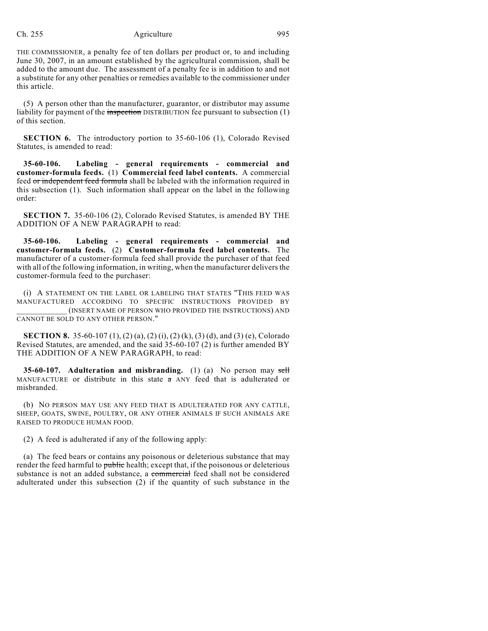### Ch. 255 Agriculture 995

THE COMMISSIONER, a penalty fee of ten dollars per product or, to and including June 30, 2007, in an amount established by the agricultural commission, shall be added to the amount due. The assessment of a penalty fee is in addition to and not a substitute for any other penalties or remedies available to the commissioner under this article.

(5) A person other than the manufacturer, guarantor, or distributor may assume liability for payment of the inspection DISTRIBUTION fee pursuant to subsection (1) of this section.

**SECTION 6.** The introductory portion to 35-60-106 (1), Colorado Revised Statutes, is amended to read:

**35-60-106. Labeling - general requirements - commercial and customer-formula feeds.** (1) **Commercial feed label contents.** A commercial feed or independent feed formula shall be labeled with the information required in this subsection (1). Such information shall appear on the label in the following order:

**SECTION 7.** 35-60-106 (2), Colorado Revised Statutes, is amended BY THE ADDITION OF A NEW PARAGRAPH to read:

**35-60-106. Labeling - general requirements - commercial and customer-formula feeds.** (2) **Customer-formula feed label contents.** The manufacturer of a customer-formula feed shall provide the purchaser of that feed with all of the following information, in writing, when the manufacturer delivers the customer-formula feed to the purchaser:

(i) A STATEMENT ON THE LABEL OR LABELING THAT STATES "THIS FEED WAS MANUFACTURED ACCORDING TO SPECIFIC INSTRUCTIONS PROVIDED BY \_\_\_\_\_\_\_\_\_\_\_\_ (INSERT NAME OF PERSON WHO PROVIDED THE INSTRUCTIONS) AND CANNOT BE SOLD TO ANY OTHER PERSON."

**SECTION 8.** 35-60-107 (1), (2) (a), (2) (i), (2) (k), (3) (d), and (3) (e), Colorado Revised Statutes, are amended, and the said 35-60-107 (2) is further amended BY THE ADDITION OF A NEW PARAGRAPH, to read:

**35-60-107.** Adulteration and misbranding. (1) (a) No person may sell MANUFACTURE or distribute in this state  $\pi$  ANY feed that is adulterated or misbranded.

(b) NO PERSON MAY USE ANY FEED THAT IS ADULTERATED FOR ANY CATTLE, SHEEP, GOATS, SWINE, POULTRY, OR ANY OTHER ANIMALS IF SUCH ANIMALS ARE RAISED TO PRODUCE HUMAN FOOD.

(2) A feed is adulterated if any of the following apply:

(a) The feed bears or contains any poisonous or deleterious substance that may render the feed harmful to public health; except that, if the poisonous or deleterious substance is not an added substance, a commercial feed shall not be considered adulterated under this subsection (2) if the quantity of such substance in the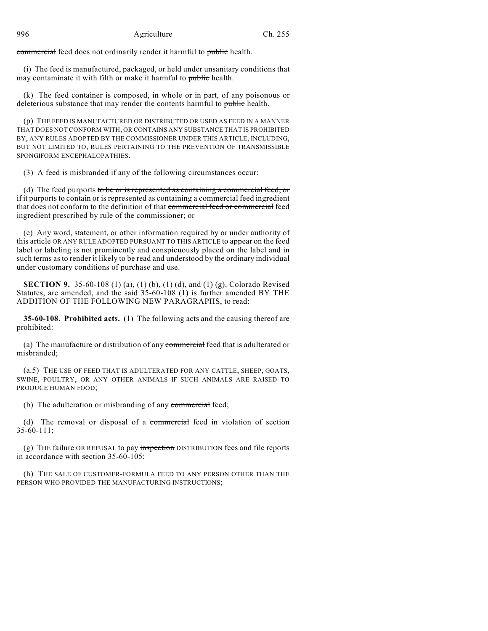commercial feed does not ordinarily render it harmful to public health.

(i) The feed is manufactured, packaged, or held under unsanitary conditions that may contaminate it with filth or make it harmful to public health.

(k) The feed container is composed, in whole or in part, of any poisonous or deleterious substance that may render the contents harmful to public health.

(p) THE FEED IS MANUFACTURED OR DISTRIBUTED OR USED AS FEED IN A MANNER THAT DOES NOT CONFORM WITH, OR CONTAINS ANY SUBSTANCE THAT IS PROHIBITED BY, ANY RULES ADOPTED BY THE COMMISSIONER UNDER THIS ARTICLE, INCLUDING, BUT NOT LIMITED TO, RULES PERTAINING TO THE PREVENTION OF TRANSMISSIBLE SPONGIFORM ENCEPHALOPATHIES.

(3) A feed is misbranded if any of the following circumstances occur:

(d) The feed purports to be or is represented as containing a commercial feed, or if it purports to contain or is represented as containing a commercial feed ingredient that does not conform to the definition of that commercial feed or commercial feed ingredient prescribed by rule of the commissioner; or

(e) Any word, statement, or other information required by or under authority of this article OR ANY RULE ADOPTED PURSUANT TO THIS ARTICLE to appear on the feed label or labeling is not prominently and conspicuously placed on the label and in such terms as to render it likely to be read and understood by the ordinary individual under customary conditions of purchase and use.

**SECTION 9.** 35-60-108 (1) (a), (1) (b), (1) (d), and (1) (g), Colorado Revised Statutes, are amended, and the said 35-60-108 (1) is further amended BY THE ADDITION OF THE FOLLOWING NEW PARAGRAPHS, to read:

**35-60-108. Prohibited acts.** (1) The following acts and the causing thereof are prohibited:

(a) The manufacture or distribution of any commercial feed that is adulterated or misbranded;

(a.5) THE USE OF FEED THAT IS ADULTERATED FOR ANY CATTLE, SHEEP, GOATS, SWINE, POULTRY, OR ANY OTHER ANIMALS IF SUCH ANIMALS ARE RAISED TO PRODUCE HUMAN FOOD;

(b) The adulteration or misbranding of any commercial feed;

(d) The removal or disposal of a commercial feed in violation of section 35-60-111;

(g) THE failure OR REFUSAL to pay inspection DISTRIBUTION fees and file reports in accordance with section 35-60-105;

(h) THE SALE OF CUSTOMER-FORMULA FEED TO ANY PERSON OTHER THAN THE PERSON WHO PROVIDED THE MANUFACTURING INSTRUCTIONS;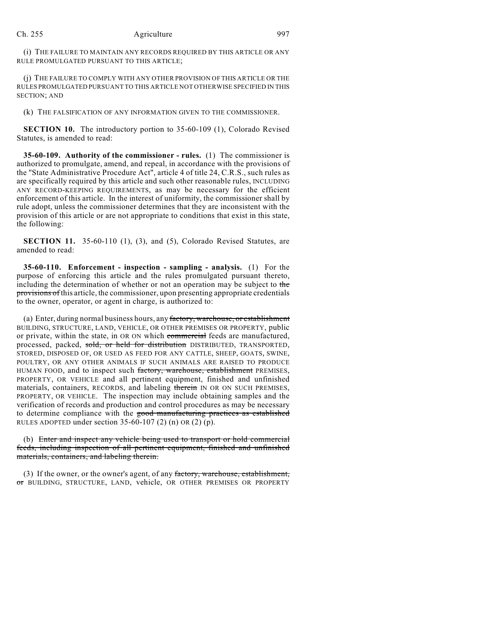#### Ch. 255 Agriculture 997

(i) THE FAILURE TO MAINTAIN ANY RECORDS REQUIRED BY THIS ARTICLE OR ANY RULE PROMULGATED PURSUANT TO THIS ARTICLE;

(j) THE FAILURE TO COMPLY WITH ANY OTHER PROVISION OF THIS ARTICLE OR THE RULES PROMULGATED PURSUANT TO THIS ARTICLE NOT OTHERWISE SPECIFIED IN THIS SECTION; AND

(k) THE FALSIFICATION OF ANY INFORMATION GIVEN TO THE COMMISSIONER.

**SECTION 10.** The introductory portion to 35-60-109 (1), Colorado Revised Statutes, is amended to read:

**35-60-109. Authority of the commissioner - rules.** (1) The commissioner is authorized to promulgate, amend, and repeal, in accordance with the provisions of the "State Administrative Procedure Act", article 4 of title 24, C.R.S., such rules as are specifically required by this article and such other reasonable rules, INCLUDING ANY RECORD-KEEPING REQUIREMENTS, as may be necessary for the efficient enforcement of this article. In the interest of uniformity, the commissioner shall by rule adopt, unless the commissioner determines that they are inconsistent with the provision of this article or are not appropriate to conditions that exist in this state, the following:

**SECTION 11.** 35-60-110 (1), (3), and (5), Colorado Revised Statutes, are amended to read:

**35-60-110. Enforcement - inspection - sampling - analysis.** (1) For the purpose of enforcing this article and the rules promulgated pursuant thereto, including the determination of whether or not an operation may be subject to the provisions of this article, the commissioner, upon presenting appropriate credentials to the owner, operator, or agent in charge, is authorized to:

(a) Enter, during normal business hours, any factory, warehouse, or establishment BUILDING, STRUCTURE, LAND, VEHICLE, OR OTHER PREMISES OR PROPERTY, public or private, within the state, in OR ON which commercial feeds are manufactured, processed, packed, sold, or held for distribution DISTRIBUTED, TRANSPORTED, STORED, DISPOSED OF, OR USED AS FEED FOR ANY CATTLE, SHEEP, GOATS, SWINE, POULTRY, OR ANY OTHER ANIMALS IF SUCH ANIMALS ARE RAISED TO PRODUCE HUMAN FOOD, and to inspect such factory, warehouse, establishment PREMISES, PROPERTY, OR VEHICLE and all pertinent equipment, finished and unfinished materials, containers, RECORDS, and labeling therein IN OR ON SUCH PREMISES, PROPERTY, OR VEHICLE. The inspection may include obtaining samples and the verification of records and production and control procedures as may be necessary to determine compliance with the good manufacturing practices as established RULES ADOPTED under section  $35-60-107$  (2) (n) OR (2) (p).

(b) Enter and inspect any vehicle being used to transport or hold commercial feeds, including inspection of all pertinent equipment, finished and unfinished materials, containers, and labeling therein.

(3) If the owner, or the owner's agent, of any factory, warehouse, establishment, or BUILDING, STRUCTURE, LAND, vehicle, OR OTHER PREMISES OR PROPERTY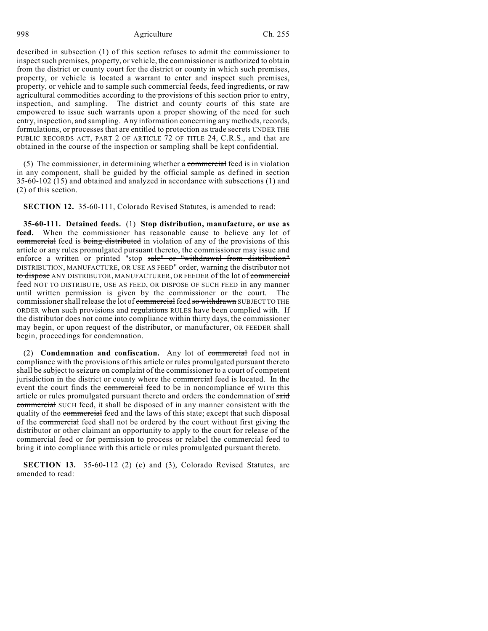998 Agriculture Ch. 255

described in subsection (1) of this section refuses to admit the commissioner to inspect such premises, property, or vehicle, the commissioner is authorized to obtain from the district or county court for the district or county in which such premises, property, or vehicle is located a warrant to enter and inspect such premises, property, or vehicle and to sample such commercial feeds, feed ingredients, or raw agricultural commodities according to the provisions of this section prior to entry, inspection, and sampling. The district and county courts of this state are empowered to issue such warrants upon a proper showing of the need for such entry, inspection, and sampling. Any information concerning any methods, records, formulations, or processes that are entitled to protection as trade secrets UNDER THE PUBLIC RECORDS ACT, PART 2 OF ARTICLE  $72$  OF TITLE 24, C.R.S., and that are obtained in the course of the inspection or sampling shall be kept confidential.

(5) The commissioner, in determining whether a commercial feed is in violation in any component, shall be guided by the official sample as defined in section 35-60-102 (15) and obtained and analyzed in accordance with subsections (1) and (2) of this section.

**SECTION 12.** 35-60-111, Colorado Revised Statutes, is amended to read:

**35-60-111. Detained feeds.** (1) **Stop distribution, manufacture, or use as feed.** When the commissioner has reasonable cause to believe any lot of commercial feed is being distributed in violation of any of the provisions of this article or any rules promulgated pursuant thereto, the commissioner may issue and enforce a written or printed "stop sale" or "withdrawal from distribution" DISTRIBUTION, MANUFACTURE, OR USE AS FEED" order, warning the distributor not to dispose ANY DISTRIBUTOR, MANUFACTURER, OR FEEDER of the lot of commercial feed NOT TO DISTRIBUTE, USE AS FEED, OR DISPOSE OF SUCH FEED in any manner until written permission is given by the commissioner or the court. The commissioner shall release the lot of commercial feed so withdrawn SUBJECT TO THE ORDER when such provisions and regulations RULES have been complied with. If the distributor does not come into compliance within thirty days, the commissioner may begin, or upon request of the distributor, or manufacturer, OR FEEDER shall begin, proceedings for condemnation.

(2) **Condemnation and confiscation.** Any lot of commercial feed not in compliance with the provisions of this article or rules promulgated pursuant thereto shall be subject to seizure on complaint of the commissioner to a court of competent jurisdiction in the district or county where the commercial feed is located. In the event the court finds the commercial feed to be in noncompliance of WITH this article or rules promulgated pursuant thereto and orders the condemnation of said commercial SUCH feed, it shall be disposed of in any manner consistent with the quality of the commercial feed and the laws of this state; except that such disposal of the commercial feed shall not be ordered by the court without first giving the distributor or other claimant an opportunity to apply to the court for release of the commercial feed or for permission to process or relabel the commercial feed to bring it into compliance with this article or rules promulgated pursuant thereto.

**SECTION 13.** 35-60-112 (2) (c) and (3), Colorado Revised Statutes, are amended to read: